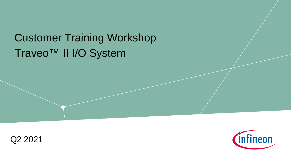# Traveo™ II I/O System Customer Training Workshop



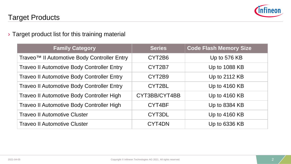

#### › Target product list for this training material

| <b>Family Category</b>                            | <b>Series</b> | <b>Code Flash Memory Size</b> |
|---------------------------------------------------|---------------|-------------------------------|
| Traveo™ II Automotive Body Controller Entry       | CYT2B6        | Up to 576 KB                  |
| <b>Traveo II Automotive Body Controller Entry</b> | CYT2B7        | Up to 1088 KB                 |
| <b>Traveo II Automotive Body Controller Entry</b> | CYT2B9        | Up to 2112 KB                 |
| <b>Traveo II Automotive Body Controller Entry</b> | CYT2BL        | Up to 4160 KB                 |
| <b>Traveo II Automotive Body Controller High</b>  | CYT3BB/CYT4BB | Up to 4160 KB                 |
| <b>Traveo II Automotive Body Controller High</b>  | CYT4BF        | Up to 8384 KB                 |
| <b>Traveo II Automotive Cluster</b>               | CYT3DL        | Up to 4160 KB                 |
| <b>Traveo II Automotive Cluster</b>               | CYT4DN        | Up to 6336 KB                 |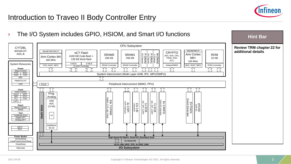

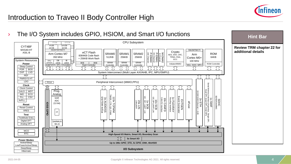

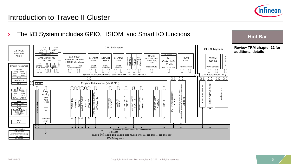

### Introduction to Traveo II Cluster

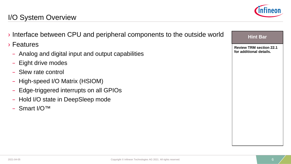

| Interface between CPU and peripheral components to the outside world | <b>Hint Bar</b>                |
|----------------------------------------------------------------------|--------------------------------|
| $\rightarrow$ Features                                               | <b>Review TRM section 22.1</b> |
| - Analog and digital input and output capabilities                   | for additional details.        |
| - Eight drive modes                                                  |                                |
| - Slew rate control                                                  |                                |
| - High-speed I/O Matrix (HSIOM)                                      |                                |
| - Edge-triggered interrupts on all GPIOs                             |                                |
| - Hold I/O state in DeepSleep mode                                   |                                |
| $-$ Smart I/O <sup>TM</sup>                                          |                                |
|                                                                      |                                |
|                                                                      |                                |
|                                                                      |                                |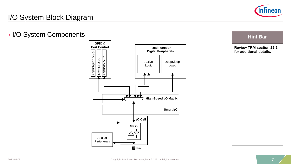

### I/O System Block Diagram

#### › I/O System Components



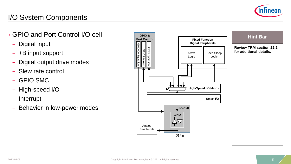

# I/O System Components

- › GPIO and Port Control I/O cell
	- Digital input
	- +B input support
	- Digital output drive modes
	- Slew rate control
	- GPIO SMC
	- High-speed I/O
	- Interrupt
	- Behavior in low-power modes

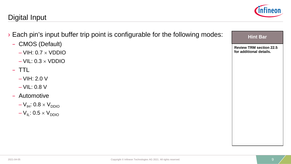#### Digital Input

- › Each pin's input buffer trip point is configurable for the following modes:
	- CMOS (Default)
		- $-VIH: 0.7 \times VDDIO$
		- $-VIL: 0.3 \times VDDIO$

#### – TTL

- VIH: 2.0 V
- VIL: 0.8 V
- Automotive
	- $-V_{IH}$ : 0.8  $\times$  V<sub>DDIO</sub>
	- $-V_{IL}: 0.5 \times V_{DDIO}$



#### **Hint Bar**

**Review TRM section 22.5 for additional details.**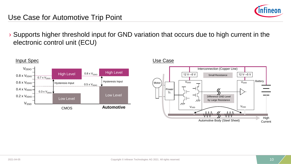

#### Use Case for Automotive Trip Point

› Supports higher threshold input for GND variation that occurs due to high current in the electronic control unit (ECU)



#### **Input Spec Use Case**

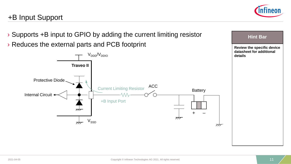

**Hint Bar** 

### +B Input Support

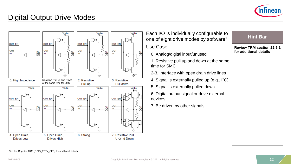

**Review TRM section 22.6.1** 

**Hint Bar** 

**for additional details**

#### Digital Output Drive Modes



Each I/O is individually configurable to one of eight drive modes by software<sup>1</sup> Use Case

- 0. Analog/digital input/unused
- 1. Resistive pull up and down at the same time for SMC
- 2-3. Interface with open drain drive lines
- 4. Signal is externally pulled up (e.g., I2C)
- 5. Signal is externally pulled down
- 6. Digital output signal or drive external devices
- 7. Be driven by other signals

1 See the Register TRM (GPIO\_PRTx\_CFG) for additional details.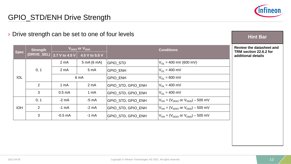

# GPIO\_STD/ENH Drive Strength

#### › Drive strength can be set to one of four levels

|                            | <b>Strength</b> | V <sub>DDIO</sub> or V <sub>DDD</sub> |                  | <b>Conditions</b>         |                                              |
|----------------------------|-----------------|---------------------------------------|------------------|---------------------------|----------------------------------------------|
| <b>Spec</b><br>(DRIVE_SEL) |                 | 2.7 V to 4.5 V                        | 4.5 V to 5.5 V   |                           |                                              |
|                            |                 | 2 <sub>m</sub> A                      | 5 mA (6 mA)      | <b>GPIO STD</b>           | $V_{\text{OL}}$ = 400 mV (600 mV)            |
|                            | 0, 1            | 2 <sub>m</sub> A                      | 5 <sub>m</sub> A | <b>GPIO ENH</b>           | $V_{OL}$ = 400 mV                            |
| <b>IOL</b>                 |                 |                                       | 6 mA             | <b>GPIO ENH</b>           | $V_{\text{OI}} = 600 \text{ mV}$             |
|                            | $\overline{2}$  | 1 <sub>m</sub> A                      | 2 <sub>m</sub> A | <b>GPIO STD, GPIO ENH</b> | $V_{\text{O}} = 400 \text{ mV}$              |
|                            | 3               | 0.5 <sub>m</sub> A                    | 1 <sub>mA</sub>  | GPIO_STD, GPIO_ENH        | $V_{\text{OI}} = 400 \text{ mV}$             |
|                            | 0, 1            | $-2$ mA                               | $-5$ mA          | GPIO STD, GPIO ENH        | $V_{OH} = (V_{DDIO}$ or $V_{DDD}$ ) – 500 mV |
| <b>IOH</b>                 | 2               | $-1$ mA                               | $-2$ mA          | GPIO STD, GPIO ENH        | $V_{OH} = (V_{DDIO}$ or $V_{DDD}$ ) – 500 mV |
|                            | 3               | $-0.5$ mA                             | $-1$ mA          | GPIO STD, GPIO ENH        | $V_{OH} = (V_{DDIO}$ or $V_{DDD}$ ) – 500 mV |

#### **Hint Bar**

**Review the datasheet and TRM section 22.6.2 for additional details**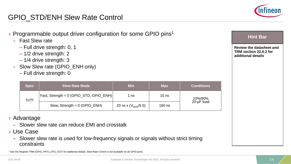

**Review the datasheet and TRM section 22.6.2 for** 

**Hint Bar** 

**additional details**

### GPIO\_STD/ENH Slew Rate Control

- $\rightarrow$  Programmable output driver configuration for some GPIO pins<sup>1</sup>
	- Fast Slew rate
		- Full drive strength: 0, 1
		- 1/2 drive strength: 2
		- 1/4 drive strength: 3
	- Slow Slew rate (GPIO\_ENH only)
		- Full drive strength: 0

| Spec  | <b>Slew Rate Mode</b>                     | <b>Min</b>                | <b>Max</b>       | <b>Conditions</b> |  |
|-------|-------------------------------------------|---------------------------|------------------|-------------------|--|
| Tr/Tf | Fast, Strength = $0$ (GPIO_STD, GPIO_ENH) | 1 ns                      | 10 <sub>ns</sub> | 10%/90%           |  |
|       | Slow, Strength = $0$ (GPIO_ENH)           | 20 ns x ( $V_{DDD}/5.5$ ) | $160$ ns         | 20-pF load        |  |

- › Advantage
	- Slower slew rate can reduce EMI and crosstalk
- › Use Case
	- Slower slew rate is used for low-frequency signals or signals without strict timing constraints

1 See the Register TRM (GPIO\_PRTx\_CFG\_OUT) for additional details. Slew Rate Control is not available on all GPIO ports.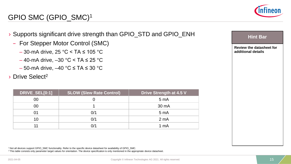

### GPIO SMC (GPIO\_SMC)1

- › Supports significant drive strength than GPIO\_STD and GPIO\_ENH
	- For Stepper Motor Control (SMC)
		- $-$  30-mA drive, 25 °C < TA  $\leq$  105 °C
		- $-$  40-mA drive,  $-30$  °C < TA  $\leq$  25 °C
		- $-50$ -mA drive,  $-40$  °C  $\leq$  TA  $\leq$  30 °C
- › Drive Select2

| DRIVE_SEL[0:1] | <b>SLOW (Slew Rate Control)</b> | <b>Drive Strength at 4.5 V</b> |
|----------------|---------------------------------|--------------------------------|
| 00             |                                 | 5 <sub>m</sub> A               |
| 00             |                                 | 30 mA                          |
| 01             | 0/1                             | 5 <sub>mA</sub>                |
| 10             | 0/1                             | 2 <sub>m</sub> A               |
| 11             | 0/1                             | 1 mA                           |

1 Not all devices support GPIO\_SMC functionality. Refer to the specific device datasheet for availability of GPIO\_SMC. <sup>2</sup> This table consists only parameter target values for orientation. The device specification is only mentioned in the appropriate device datasheet.

| <b>Review the datasheet for</b><br>additional details |
|-------------------------------------------------------|
|                                                       |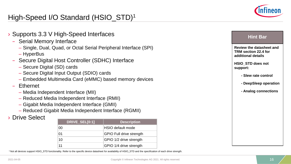

# High-Speed I/O Standard (HSIO\_STD)1

› Supports 3.3 V High-Speed Interfaces – Serial Memory Interface – Single, Dual, Quad, or Octal Serial Peripheral Interface (SPI) – HyperBus – Secure Digital Host Controller (SDHC) Interface – Secure Digital (SD) cards – Secure Digital Input Output (SDIO) cards – Embedded Multimedia Card (eMMC) based memory devices – Ethernet – Media Independent Interface (MII) – Reduced Media Independent Interface (RMII) – Gigabit Media Independent Interface (GMII) – Reduced Gigabit Media Independent Interface (RGMII) **Drive Select Review the datasheet and TRM section 22.4 for additional details HSIO\_STD does not support: - Slew rate control - DeepSleep operation - Analog connections Hint Bar DRIVE SEL[0:1] Description** 00 HSIO default mode 01 GPIO Full drive strength 10 GPIO 1/2 drive strength

1 Not all devices support HSIO\_STD functionality. Refer to the specific device datasheet for availability of HSIO\_STD and the specification of each drive strength.

11 GPIO 1/4 drive strength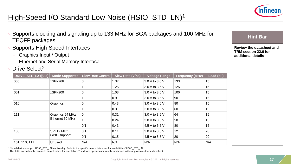

# High-Speed I/O Standard Low Noise (HSIO\_STD\_LN)1

- › Supports clocking and signaling up to 133 MHz for BGA packages and 100 MHz for TEQFP packages
- Supports High-Speed Interfaces
	- Graphics Input / Output
	- Ethernet and Serial Memory Interface
- › Drive Select2

| DRIVE_SEL_EXT[0:2] | <b>Mode Supported</b>              | <b>Slew Rate Control</b> | <b>Slew Rate (V/ns)</b> | <b>Voltage Range</b> | <b>Frequency (MHz)</b> | Load (pF) |
|--------------------|------------------------------------|--------------------------|-------------------------|----------------------|------------------------|-----------|
| 000                | <b>xSPI-266</b>                    | 0                        | 1.37                    | 3.0 V to 3.6 V       | 133                    | 15        |
|                    |                                    |                          | 1.25                    | 3.0 V to 3.6 V       | 125                    | 15        |
| 001                | xSPI-200                           | 0                        | 1.03                    | 3.0 V to 3.6 V       | 100                    | 15        |
|                    |                                    |                          | 0.9                     | 3.0 V to 3.6 V       | 90                     | 15        |
| 010                | Graphics                           | 0                        | 0.43                    | 3.0 V to 3.6 V       | 80                     | 15        |
|                    |                                    |                          | 0.3                     | 3.0 V to 3.6 V       | 60                     | 15        |
| 111                | Graphics 64 MHz<br>Ethernet 50 MHz | $\mathbf 0$              | 0.31                    | 3.0 V to 3.6 V       | 64                     | 15        |
|                    |                                    |                          | 0.24                    | 3.0 V to 3.6 V       | 50                     | 15        |
|                    |                                    | 0/1                      | 0.43                    | 4.5 V to 5.5 V       | 80                     | 15        |
| 100                | SPI 12 MHz<br>GPIO support         | 0/1                      | 0.11                    | 3.0 V to 3.6 V       | 12                     | 20        |
|                    |                                    | 0/1                      | 0.15                    | 4.5 V to 5.5 V       | 20                     | 20        |
| 101, 110, 111      | Unused                             | N/A                      | N/A                     | N/A                  | N/A                    | N/A       |

**Hint Bar** 

**Review the datasheet and TRM section 22.6 for additional details**

1 Not all devices support HSIO\_STD\_LN functionality. Refer to the specific device datasheet for availability of HSIO\_STD\_LN.

<sup>2</sup> This table consists only parameter target values for orientation. The device specification is only mentioned in the appropriate device datasheet.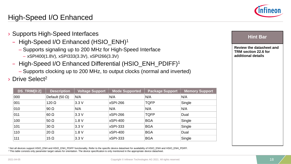### High-Speed I/O Enhanced

- › Supports High-Speed Interfaces
	- High-Speed I/O Enhanced (HSIO\_ENH)1
		- Supports signaling up to 200 MHz for High-Speed Interface
			- xSPI400(1.8V), xSPI333(3.3V), xSPI266(3.3V)
	- High-Speed I/O Enhanced Differential (HSIO\_ENH\_PDIFF)1
		- Supports clocking up to 200 MHz, to output clocks (normal and inverted)
- › Drive Select2

| DS_TRIM[0:2] | <b>Description</b>     | Voltage Support | Mode Supported  | <b>Package Support</b> | Memory Support |
|--------------|------------------------|-----------------|-----------------|------------------------|----------------|
| 000          | Default (50 $\Omega$ ) | N/A             | N/A             | N/A                    | N/A            |
| 001          | $120 \Omega$           | 3.3V            | xSPI-266        | <b>TQFP</b>            | Single         |
| 010          | 90 $\Omega$            | N/A             | N/A             | N/A                    | N/A            |
| 011          | $60 \Omega$            | 3.3V            | xSPI-266        | <b>TQFP</b>            | Dual           |
| 100          | 50 $\Omega$            | 1.8V            | <b>xSPI-400</b> | <b>BGA</b>             | Single         |
| 101          | $30 \Omega$            | 3.3V            | <b>xSPI-333</b> | <b>BGA</b>             | Single         |
| 110          | $20 \Omega$            | 1.8V            | <b>xSPI-400</b> | <b>BGA</b>             | Dual           |
| 111          | 15 $\Omega$            | 3.3V            | <b>xSPI-333</b> | <b>BGA</b>             | Single         |

1 Not all devices support HSIO\_ENH and HSIO\_ENH\_PDIFF functionality. Refer to the specific device datasheet for availability of HSIO\_ENH and HSIO\_ENH\_PDIFF. <sup>2</sup> This table consists only parameter target values for orientation. The device specification is only mentioned in the appropriate device datasheet



#### **Hint Bar**

**Review the datasheet and TRM section 22.6 for additional details**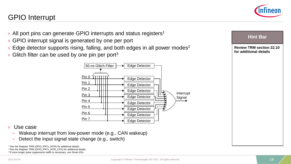

### GPIO Interrupt



- $\rightarrow$  All port pins can generate GPIO interrupts and status registers<sup>1</sup>
- › GPIO interrupt signal is generated by one per port
- $\rightarrow$  Edge detector supports rising, falling, and both edges in all power modes<sup>2</sup>
- Glitch filter can be used by one pin per port $3$



- Use case
	- Wakeup interrupt from low-power mode (e.g., CAN wakeup)
	- Detect the input signal state change (e.g., switch)

<sup>1</sup> See the Register TRM (GPIO\_PRTx\_INTR) for additional details. 2 See the Register TRM (GPIO\_PRTx\_INTR\_CFG) for additional details. <sup>3</sup> If more longer pulse suppression width is necessary, use Smart I/Os.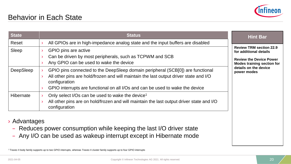

| <b>State</b> | <b>Status</b>                                                                                                                                                                                                                                                             | <b>Hint Bar</b>                                                                                                                 |
|--------------|---------------------------------------------------------------------------------------------------------------------------------------------------------------------------------------------------------------------------------------------------------------------------|---------------------------------------------------------------------------------------------------------------------------------|
| Reset        | All GPIOs are in high-impedance analog state and the input buffers are disabled                                                                                                                                                                                           |                                                                                                                                 |
| Sleep        | GPIO pins are active<br>Can be driven by most peripherals, such as TCPWM and SCB<br>Any GPIO can be used to wake the device                                                                                                                                               | <b>Review TRM section 22.9</b><br>for additional details<br><b>Review the Device Power</b><br><b>Modes training section for</b> |
| DeepSleep    | GPIO pins connected to the DeepSleep domain peripheral (SCB[0]) are functional<br>All other pins are hold/frozen and will maintain the last output driver state and I/O<br>configuration<br>GPIO interrupts are functional on all I/Os and can be used to wake the device | details on the device<br>power modes                                                                                            |
| Hibernate    | Only select I/Os can be used to wake the device <sup>1</sup><br>All other pins are on hold/frozen and will maintain the last output driver state and I/O<br>configuration                                                                                                 |                                                                                                                                 |

› Advantages

- Reduces power consumption while keeping the last I/O driver state
- Any I/O can be used as wakeup interrupt except in Hibernate mode

1 Traveo II body family supports up to two GPIO interrupts, whereas Traveo II cluster family supports up to four GPIO interrupts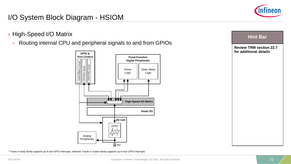

### I/O System Block Diagram - HSIOM

- › High-Speed I/O Matrix
	- Routing internal CPU and peripheral signals to and from GPIOs



1 Traveo II body family supports up to two GPIO interrupts, whereas Traveo II cluster family supports up to four GPIO interrupts

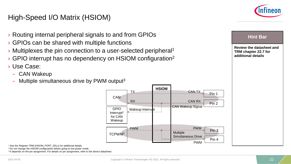### High-Speed I/O Matrix (HSIOM)



#### **Hint Bar**

**Review the datasheet and TRM chapter 22.7 for additional details**

- › Routing internal peripheral signals to and from GPIOs
- › GPIOs can be shared with multiple functions
- › Multiplexes the pin connection to a user-selected peripheral1
- › GPIO interrupt has no dependency on HSIOM configuration2
- › Use Case:
	- CAN Wakeup
	- $-$  Multiple simultaneous drive by PWM output<sup>3</sup>



<sup>1</sup> See the Register TRM (HSIOM\_PORT\_SELx) for additional details.

<sup>2</sup> Do not change the HSIOM configuration before going to low power mode.

<sup>3</sup> It depends on the pin assignment. For details on pin assignment, refer to the device datasheet.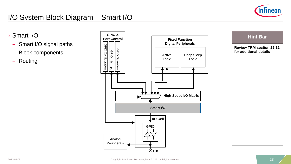

### I/O System Block Diagram – Smart I/O

- › Smart I/O
	- Smart I/O signal paths
	- Block components
	- Routing



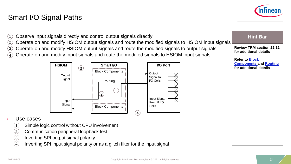#### <span id="page-23-0"></span>Smart I/O Signal Paths



| Observe input signals directly and control output signals directly<br>(1)<br>Operate on and modify HSIOM output signals and route the modified signals to HSIOM input signals<br>(2)<br>(3)<br>Operate on and modify HSIOM output signals and route the modified signals to output signals<br>Operate on and modify input signals and route the modified signals to HSIOM input signals<br>(4) | <b>Hint Bar</b><br><b>Review TRM section 22.12</b><br>for additional details     |
|------------------------------------------------------------------------------------------------------------------------------------------------------------------------------------------------------------------------------------------------------------------------------------------------------------------------------------------------------------------------------------------------|----------------------------------------------------------------------------------|
| I/O Port<br><b>HSIOM</b><br>Smart I/O<br>(3)<br><b>Block Components</b><br>Output<br>Output<br>Signal to 8<br>Signal<br>I/O Cells<br>Routing<br>(1)<br>$\Large{\textcircled{\small{2}}}$<br>Input Signal<br>Input<br>From 8 I/O<br>Signal<br>Cells<br><b>Block Components</b><br>$\left( 4\right)$                                                                                             | <b>Refer to Block</b><br><b>Components and Routing</b><br>for additional details |
| Use cases                                                                                                                                                                                                                                                                                                                                                                                      |                                                                                  |
| Simple logic control without CPU involvement<br>$\left( 2\right)$<br>Communication peripheral loopback test<br>$\binom{3}{}$<br>Inverting SPI output signal polarity                                                                                                                                                                                                                           |                                                                                  |

Inverting SPI input signal polarity or as a glitch filter for the input signal  $\overline{4}$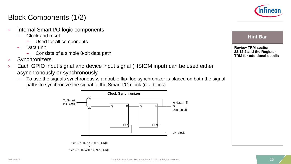

### Block Components (1/2)

- › Internal Smart I/O logic components
	- Clock and reset
		- Used for all components
	- Data unit
		- Consists of a simple 8-bit data path
- **Synchronizers**
- Each GPIO input signal and device input signal (HSIOM input) can be used either asynchronously or synchronously
	- To use the signals synchronously, a double flip-flop synchronizer is placed on both the signal paths to synchronize the signal to the Smart I/O clock (clk\_block)



**Review TRM section 22.12.2 and the Register TRM for additional details**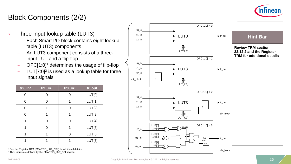

### Block Components (2/2)

- $\rightarrow$  Three-input lookup table (LUT3)
	- Each Smart I/O block contains eight lookup table (LUT3) components
	- An LUT3 component consists of a threeinput LUT and a flip-flop
	- $\sim$  OPC[1:0]<sup>1</sup> determines the usage of flip-flop
	- $-$  LUT[7:0]<sup>2</sup> is used as a lookup table for three input signals

| $\overline{\text{tr2}_{\_}}$ in <sup>2</sup> | $tr1$ _in <sup>2</sup> | $tr0$ _in <sup>2</sup> | tr_out |
|----------------------------------------------|------------------------|------------------------|--------|
| 0                                            | ი                      |                        | LUT[0] |
| 0                                            | O                      | 1                      | LUT[1] |
| 0                                            | 1                      | O                      | LUT[2] |
| $\Omega$                                     | 1                      |                        | LUT[3] |
| 1                                            | ∩                      | O                      | LUT[4] |
| 1                                            | ∩                      |                        | LUT[5] |
|                                              |                        | ∩                      | LUT[6] |
|                                              |                        |                        | LUT[7] |

1 See the Register TRM (SMARTIO\_LUT\_CTL) for additional details <sup>2</sup> Their inputs are defined by the SMARTIO\_LUT\_SEL register

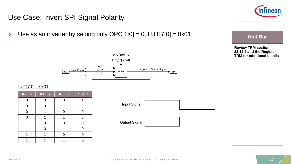

#### Use Case: Invert SPI Signal Polarity

**Hint Bar inverter by setting only OPC[1:0] = 0, LUT[7:0] = 0x01 Hint Bar** 



#### $LUT[7:0] = 0x01$

| $tr2$ in | $tr1$ _in | tr0_in | tr_out |
|----------|-----------|--------|--------|
|          |           | ი      |        |
|          | ( )       | 1      |        |
|          |           |        |        |
|          |           |        |        |
|          |           |        |        |
|          |           |        |        |
|          |           |        |        |
|          |           |        |        |

| Input Signal         |  |
|----------------------|--|
| <b>Output Signal</b> |  |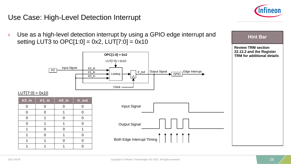

#### <span id="page-27-0"></span>Use Case: High-Level Detection Interrupt

> Use as a high-level detection interrupt by using a GPIO edge interrupt and a station Hint Bar setting LUT3 to  $OPC[1:0] = 0x2$ , LUT $[7:0] = 0x10$ 



**Review TRM section 22.12.2 and the Register TRM for additional details**

#### $LUT[7:0] = 0x10$

| $tr2_{in}$ | $tr1$ _in<br>$tr0_in$ |  | tr_out |  |
|------------|-----------------------|--|--------|--|
|            |                       |  |        |  |
|            | ∩                     |  |        |  |
|            |                       |  |        |  |
|            |                       |  |        |  |
|            |                       |  |        |  |
|            | ∩                     |  |        |  |
|            |                       |  |        |  |
|            |                       |  |        |  |

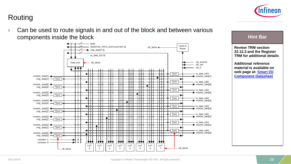

## Routing

Can be used to route signals in and out of the block and between various components inside the block



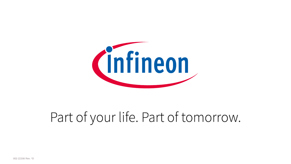

# Part of your life. Part of tomorrow.